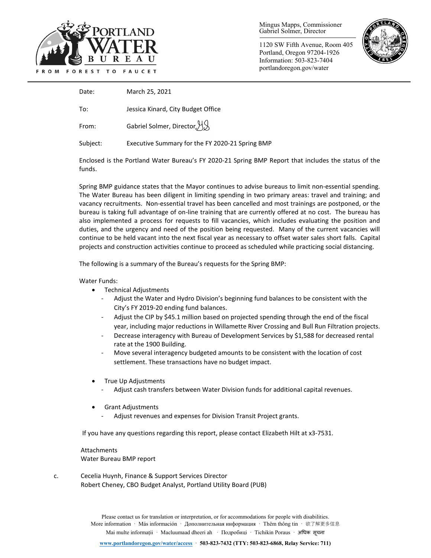

Mingus Mapps, Commissioner Gabriel Solmer, Director

1120 SW Fifth Avenue, Room 405 Portland, Oregon 97204-1926 Information: 503-823-7404 portlandoregon.gov/water



Date: March 25, 2021

To: Jessica Kinard, City Budget Office

From: Gabriel Solmer, Director, H.S.

Subject: Executive Summary for the FY 2020-21 Spring BMP

Enclosed is the Portland Water Bureau's FY 2020-21 Spring BMP Report that includes the status of the funds.

Spring BMP guidance states that the Mayor continues to advise bureaus to limit non-essential spending. The Water Bureau has been diligent in limiting spending in two primary areas: travel and training; and vacancy recruitments. Non-essential travel has been cancelled and most trainings are postponed, or the bureau is taking full advantage of on-line training that are currently offered at no cost. The bureau has also implemented a process for requests to fill vacancies, which includes evaluating the position and duties, and the urgency and need of the position being requested. Many of the current vacancies will continue to be held vacant into the next fiscal year as necessary to offset water sales short falls. Capital projects and construction activities continue to proceed as scheduled while practicing social distancing.

The following is a summary of the Bureau's requests for the Spring BMP:

#### Water Funds:

- Technical Adjustments
	- Adjust the Water and Hydro Division's beginning fund balances to be consistent with the City's FY 2019-20 ending fund balances.
	- Adjust the CIP by \$45.1 million based on projected spending through the end of the fiscal year, including major reductions in Willamette River Crossing and Bull Run Filtration projects.
	- Decrease interagency with Bureau of Development Services by \$1,588 for decreased rental rate at the 1900 Building.
	- Move several interagency budgeted amounts to be consistent with the location of cost settlement. These transactions have no budget impact.
- True Up Adjustments
	- Adjust cash transfers between Water Division funds for additional capital revenues.
- Grant Adjustments
	- Adjust revenues and expenses for Division Transit Project grants.

If you have any questions regarding this report, please contact Elizabeth Hilt at x3-7531.

Attachments Water Bureau BMP report

c. Cecelia Huynh, Finance & Support Services Director Robert Cheney, CBO Budget Analyst, Portland Utility Board (PUB)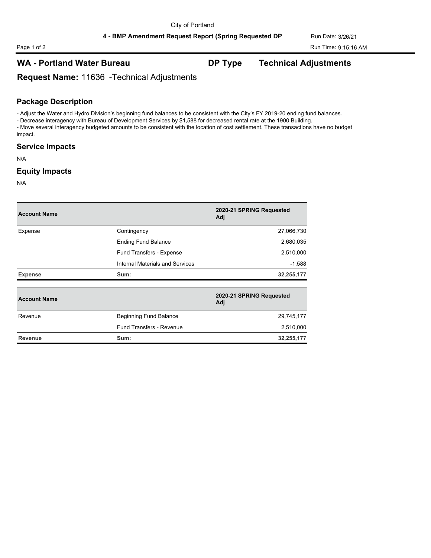# **WA - Portland Water Bureau DP Type Technical Adjustments**

**Request Name:** 11636 -Technical Adjustments

## **Package Description**

- Adjust the Water and Hydro Division's beginning fund balances to be consistent with the City's FY 2019-20 ending fund balances.

- Decrease interagency with Bureau of Development Services by \$1,588 for decreased rental rate at the 1900 Building. - Move several interagency budgeted amounts to be consistent with the location of cost settlement. These transactions have no budget impact.

#### **Service Impacts**

N/A

#### **Equity Impacts**

N/A

| <b>Account Name</b> |                                 | 2020-21 SPRING Requested<br>Adj |
|---------------------|---------------------------------|---------------------------------|
| Expense             | Contingency                     | 27,066,730                      |
|                     | <b>Ending Fund Balance</b>      | 2,680,035                       |
|                     | Fund Transfers - Expense        | 2,510,000                       |
|                     | Internal Materials and Services | $-1,588$                        |
| <b>Expense</b>      | Sum:                            | 32,255,177                      |
| <b>Account Name</b> |                                 | 2020-21 SPRING Requested<br>Adj |
| Revenue             | <b>Beginning Fund Balance</b>   | 29,745,177                      |
|                     | <b>Fund Transfers - Revenue</b> | 2,510,000                       |
| Revenue             | Sum:                            | 32,255,177                      |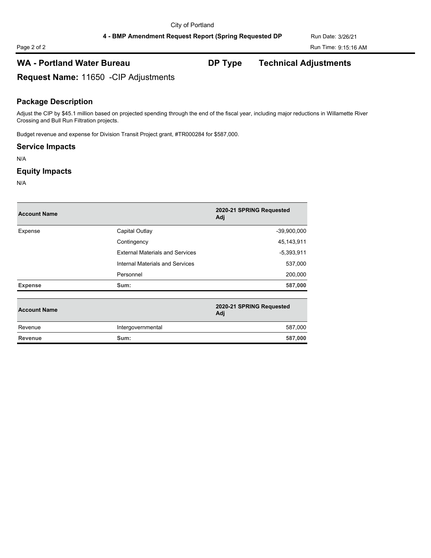# Page 2 of 2 Run Time: 9:15:16 AM

# **WA - Portland Water Bureau DP Type Technical Adjustments**

**Request Name:** 11650 -CIP Adjustments

# **Package Description**

Adjust the CIP by \$45.1 million based on projected spending through the end of the fiscal year, including major reductions in Willamette River Crossing and Bull Run Filtration projects.

Budget revenue and expense for Division Transit Project grant, #TR000284 for \$587,000.

## **Service Impacts**

N/A

#### **Equity Impacts**

N/A

| <b>Account Name</b> |                                        | 2020-21 SPRING Requested<br>Adj |
|---------------------|----------------------------------------|---------------------------------|
| Expense             | Capital Outlay                         | $-39,900,000$                   |
|                     | Contingency                            | 45,143,911                      |
|                     | <b>External Materials and Services</b> | $-5,393,911$                    |
|                     | Internal Materials and Services        | 537,000                         |
|                     | Personnel                              | 200,000                         |
| <b>Expense</b>      | Sum:                                   | 587,000                         |
| <b>Account Name</b> |                                        | 2020-21 SPRING Requested<br>Adj |
| Revenue             | Intergovernmental                      | 587,000                         |
| <b>Revenue</b>      | Sum:                                   | 587,000                         |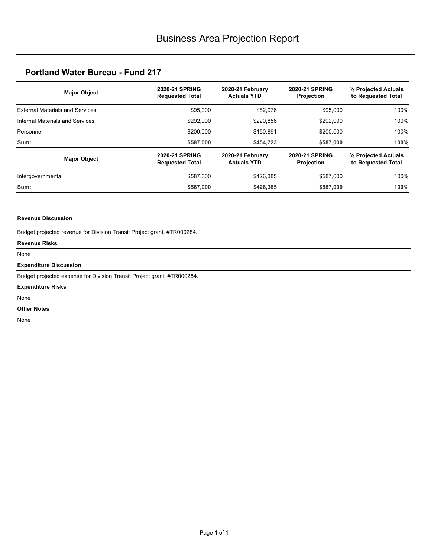| <b>Major Object</b>                    | <b>2020-21 SPRING</b><br><b>Requested Total</b> | 2020-21 February<br><b>Actuals YTD</b> | <b>2020-21 SPRING</b><br><b>Projection</b> | % Projected Actuals<br>to Requested Total |  |
|----------------------------------------|-------------------------------------------------|----------------------------------------|--------------------------------------------|-------------------------------------------|--|
| <b>External Materials and Services</b> | \$95,000                                        | \$82,976                               | \$95,000                                   | 100%                                      |  |
| Internal Materials and Services        | \$292,000                                       | \$220,856                              | \$292,000                                  | 100%                                      |  |
| Personnel                              | \$200,000                                       | \$150,891                              | \$200,000                                  | 100%                                      |  |
| Sum:                                   | \$587,000                                       | \$454,723                              | \$587,000                                  | 100%                                      |  |
| <b>Major Object</b>                    | <b>2020-21 SPRING</b><br><b>Requested Total</b> | 2020-21 February<br><b>Actuals YTD</b> | <b>2020-21 SPRING</b><br><b>Projection</b> | % Projected Actuals<br>to Requested Total |  |
| Intergovernmental                      | \$587,000                                       | \$426.385                              | \$587,000                                  | 100%                                      |  |
| Sum:                                   | \$587,000                                       | \$426,385                              | \$587,000                                  | 100%                                      |  |

### **Revenue Discussion**

| Budget projected revenue for Division Transit Project grant, #TR000284. |
|-------------------------------------------------------------------------|
| <b>Revenue Risks</b>                                                    |
| None                                                                    |
| <b>Expenditure Discussion</b>                                           |
| Budget projected expense for Division Transit Project grant, #TR000284. |
| <b>Expenditure Risks</b>                                                |
| None                                                                    |
| <b>Other Notes</b>                                                      |
| None                                                                    |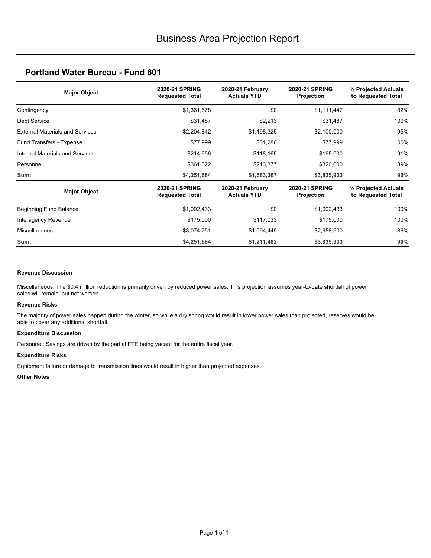| <b>Major Object</b>                    | <b>2020-21 SPRING</b><br><b>Requested Total</b> | 2020-21 February<br><b>Actuals YTD</b> |                                     | % Projected Actuals<br>to Requested Total |  |
|----------------------------------------|-------------------------------------------------|----------------------------------------|-------------------------------------|-------------------------------------------|--|
| Contingency                            | \$1,361,678                                     | \$0                                    | \$1,111,447                         | 82%                                       |  |
| Debt Service                           | \$31,487                                        | \$2,213                                | \$31,487                            | 100%                                      |  |
| <b>External Materials and Services</b> | \$2,204,842                                     | \$1,198,325                            | \$2,100,000                         | 95%                                       |  |
| Fund Transfers - Expense               | \$77,999                                        | \$51,286                               | \$77,999                            | 100%                                      |  |
| Internal Materials and Services        | \$214,656                                       | \$118,165                              | \$195,000                           | 91%                                       |  |
| Personnel                              | \$361,022                                       | \$213,377                              | \$320,000                           | 89%                                       |  |
| Sum:                                   | \$4,251,684                                     | \$1,583,367                            | \$3,835,933                         | 90%                                       |  |
| <b>Major Object</b>                    | <b>2020-21 SPRING</b><br><b>Requested Total</b> | 2020-21 February<br><b>Actuals YTD</b> | <b>2020-21 SPRING</b><br>Projection | % Projected Actuals<br>to Requested Total |  |
| <b>Beginning Fund Balance</b>          | \$1,002,433                                     | \$0                                    | \$1,002,433                         | 100%                                      |  |
| Interagency Revenue                    | \$175,000                                       | \$117,033                              | \$175,000                           | 100%                                      |  |
| <b>Miscellaneous</b>                   | \$3,074,251                                     | \$1,094,449                            | \$2,658,500                         | 86%                                       |  |
| Sum:                                   | \$4,251,684                                     | \$1,211,482                            | \$3,835,933                         | 90%                                       |  |

#### **Revenue Discussion**

Miscellaneous: The \$0.4 million reduction is primarily driven by reduced power sales. This projection assumes year-to-date shortfall of power sales will remain, but not worsen.

#### **Revenue Risks**

The majority of power sales happen during the winter, so while a dry spring would result in lower power sales than projected, reserves would be able to cover any additional shortfall.

#### **Expenditure Discussion**

Personnel: Savings are driven by the partial FTE being vacant for the entire fiscal year.

#### **Expenditure Risks**

Equipment failure or damage to transmission lines would result in higher than projected expenses.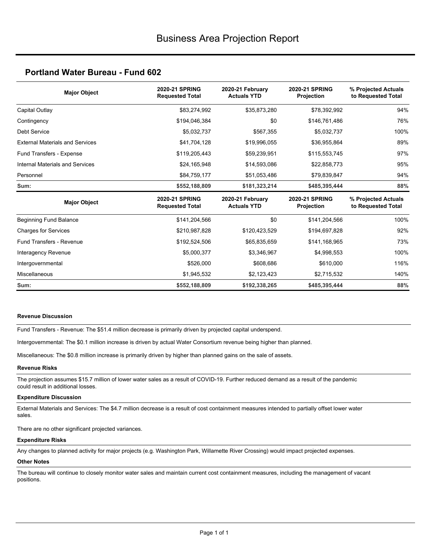| <b>Major Object</b>                    | 2020-21 SPRING<br><b>Requested Total</b>        | 2020-21 February<br><b>Actuals YTD</b> | <b>2020-21 SPRING</b><br>Projection | % Projected Actuals<br>to Requested Total |  |
|----------------------------------------|-------------------------------------------------|----------------------------------------|-------------------------------------|-------------------------------------------|--|
| Capital Outlay                         | \$83,274,992                                    | \$35,873,280                           | \$78,392,992                        | 94%                                       |  |
| Contingency                            | \$194,046,384                                   | \$0                                    | \$146,761,486                       | 76%                                       |  |
| Debt Service                           | \$5,032,737                                     | \$567,355                              | \$5,032,737                         | 100%                                      |  |
| <b>External Materials and Services</b> | \$41,704,128                                    | \$19,996,055                           | \$36,955,864                        | 89%                                       |  |
| Fund Transfers - Expense               | \$119,205,443                                   | \$59,239,951                           | \$115,553,745                       | 97%                                       |  |
| Internal Materials and Services        | \$24,165,948                                    | \$14,593,086                           | \$22,858,773                        | 95%                                       |  |
| Personnel                              | \$84,759,177                                    | \$51,053,486                           | \$79,839,847                        | 94%                                       |  |
| Sum:                                   | \$552,188,809                                   | \$181,323,214                          | \$485,395,444                       | 88%                                       |  |
| <b>Major Object</b>                    | <b>2020-21 SPRING</b><br><b>Requested Total</b> | 2020-21 February<br><b>Actuals YTD</b> | <b>2020-21 SPRING</b><br>Projection | % Projected Actuals<br>to Requested Total |  |
| Beginning Fund Balance                 | \$141,204,566                                   | \$0                                    | \$141,204,566                       | 100%                                      |  |
| <b>Charges for Services</b>            | \$210,987,828                                   | \$120,423,529                          | \$194,697,828                       | 92%                                       |  |
| Fund Transfers - Revenue               | \$192,524,506                                   | \$65,835,659                           | \$141,168,965                       | 73%                                       |  |
| Interagency Revenue                    | \$5,000,377                                     | \$3,346,967                            | \$4,998,553                         | 100%                                      |  |
| Intergovernmental                      | \$526,000                                       | \$608,686                              | \$610,000                           | 116%                                      |  |
| <b>Miscellaneous</b>                   | \$1,945,532                                     | \$2,123,423                            | \$2,715,532                         | 140%                                      |  |
| Sum:                                   | \$552,188,809                                   | \$192,338,265                          | \$485,395,444                       | 88%                                       |  |

#### **Revenue Discussion**

Fund Transfers - Revenue: The \$51.4 million decrease is primarily driven by projected capital underspend.

Intergovernmental: The \$0.1 million increase is driven by actual Water Consortium revenue being higher than planned.

Miscellaneous: The \$0.8 million increase is primarily driven by higher than planned gains on the sale of assets.

#### **Revenue Risks**

The projection assumes \$15.7 million of lower water sales as a result of COVID-19. Further reduced demand as a result of the pandemic could result in additional losses.

#### **Expenditure Discussion**

External Materials and Services: The \$4.7 million decrease is a result of cost containment measures intended to partially offset lower water sales.

There are no other significant projected variances.

#### **Expenditure Risks**

Any changes to planned activity for major projects (e.g. Washington Park, Willamette River Crossing) would impact projected expenses.

#### **Other Notes**

The bureau will continue to closely monitor water sales and maintain current cost containment measures, including the management of vacant positions.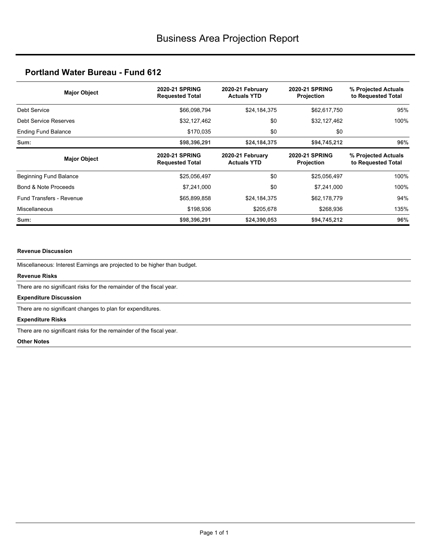| <b>Major Object</b>             | <b>2020-21 SPRING</b><br><b>Requested Total</b> | 2020-21 February<br><b>Actuals YTD</b> |                                            | % Projected Actuals<br>to Requested Total |  |
|---------------------------------|-------------------------------------------------|----------------------------------------|--------------------------------------------|-------------------------------------------|--|
| Debt Service                    | \$66,098,794                                    | \$24,184,375                           | \$62,617,750                               | 95%                                       |  |
| Debt Service Reserves           | \$32,127,462                                    | \$0                                    | \$32,127,462                               | 100%                                      |  |
| <b>Ending Fund Balance</b>      | \$170,035                                       | \$0                                    | \$0                                        |                                           |  |
| Sum:                            | \$98,396,291                                    | \$24,184,375                           | \$94,745,212                               | 96%                                       |  |
| <b>Major Object</b>             | <b>2020-21 SPRING</b><br><b>Requested Total</b> | 2020-21 February<br><b>Actuals YTD</b> | <b>2020-21 SPRING</b><br><b>Projection</b> | % Projected Actuals<br>to Requested Total |  |
| Beginning Fund Balance          | \$25,056,497                                    | \$0                                    | \$25,056,497                               | 100%                                      |  |
| Bond & Note Proceeds            | \$7,241,000                                     | \$0                                    | \$7,241,000                                | 100%                                      |  |
| <b>Fund Transfers - Revenue</b> | \$65,899,858                                    | \$24,184,375                           | \$62,178,779                               | 94%                                       |  |
| <b>Miscellaneous</b>            | \$198,936                                       | \$205,678                              | \$268,936                                  | 135%                                      |  |
| Sum:                            | \$98,396,291                                    | \$24,390,053                           | \$94,745,212                               | 96%                                       |  |

#### **Revenue Discussion**

Miscellaneous: Interest Earnings are projected to be higher than budget.

#### **Revenue Risks**

There are no significant risks for the remainder of the fiscal year.

#### **Expenditure Discussion**

There are no significant changes to plan for expenditures.

#### **Expenditure Risks**

There are no significant risks for the remainder of the fiscal year.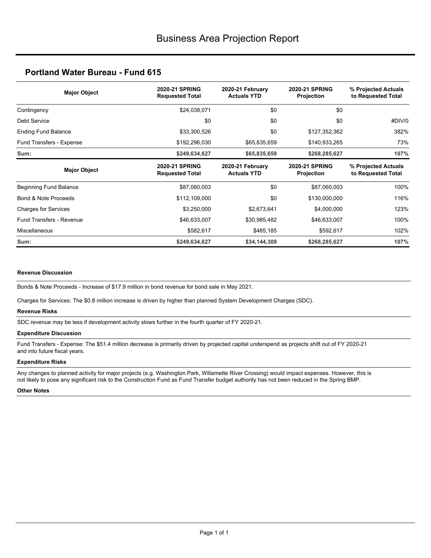| <b>Major Object</b>         | <b>2020-21 SPRING</b><br><b>Requested Total</b> | 2020-21 February<br><b>Actuals YTD</b> |                                     | % Projected Actuals<br>to Requested Total |  |
|-----------------------------|-------------------------------------------------|----------------------------------------|-------------------------------------|-------------------------------------------|--|
| Contingency                 | \$24,038,071                                    | \$0                                    | \$0                                 |                                           |  |
| Debt Service                | \$0                                             | \$0                                    | \$0                                 | #DIV/0                                    |  |
| <b>Ending Fund Balance</b>  | \$33,300,526                                    | \$0                                    | \$127,352,362                       | 382%                                      |  |
| Fund Transfers - Expense    | \$192,296,030                                   | \$65,835,659                           | \$140,933,265                       | 73%                                       |  |
| Sum:                        | \$249,634,627                                   | \$65,835,659                           | \$268,285,627                       | 107%                                      |  |
| <b>Major Object</b>         | <b>2020-21 SPRING</b><br><b>Requested Total</b> | 2020-21 February<br><b>Actuals YTD</b> | <b>2020-21 SPRING</b><br>Projection | % Projected Actuals<br>to Requested Total |  |
| Beginning Fund Balance      | \$87,060,003                                    | \$0                                    | \$87,060,003                        | 100%                                      |  |
| Bond & Note Proceeds        | \$112,109,000                                   | \$0                                    | \$130,000,000                       | 116%                                      |  |
|                             |                                                 |                                        |                                     |                                           |  |
| <b>Charges for Services</b> | \$3,250,000                                     | \$2,673,641                            | \$4,000,000                         | 123%                                      |  |
| Fund Transfers - Revenue    | \$46,633,007                                    | \$30,985,482                           | \$46,633,007                        | 100%                                      |  |
| <b>Miscellaneous</b>        | \$582,617                                       | \$485,185                              | \$592,617                           | 102%                                      |  |

#### **Revenue Discussion**

Bonds & Note Proceeds - Increase of \$17.9 million in bond revenue for bond sale in May 2021.

Charges for Services: The \$0.8 million increase is driven by higher than planned System Development Charges (SDC).

#### **Revenue Risks**

SDC revenue may be less if development activity slows further in the fourth quarter of FY 2020-21.

#### **Expenditure Discussion**

Fund Transfers - Expense: The \$51.4 million decrease is primarily driven by projected capital underspend as projects shift out of FY 2020-21 and into future fiscal years.

#### **Expenditure Risks**

Any changes to planned activity for major projects (e.g. Washington Park, Willamette River Crossing) would impact expenses. However, this is not likely to pose any significant risk to the Construction Fund as Fund Transfer budget authority has not been reduced in the Spring BMP.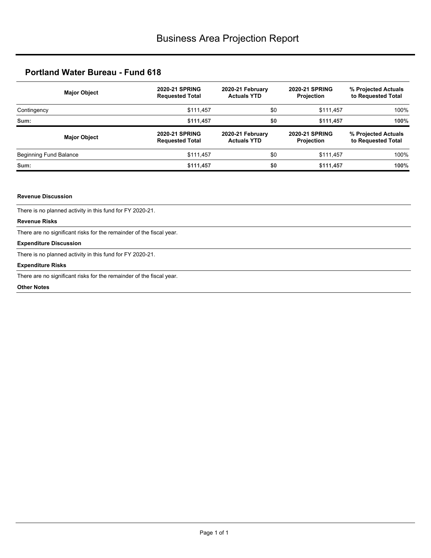| <b>Major Object</b>    | <b>2020-21 SPRING</b><br><b>Requested Total</b> | 2020-21 February<br><b>Actuals YTD</b> | <b>2020-21 SPRING</b><br><b>Projection</b> | % Projected Actuals<br>to Requested Total<br>100% |  |
|------------------------|-------------------------------------------------|----------------------------------------|--------------------------------------------|---------------------------------------------------|--|
| Contingency            | \$111,457                                       | \$0                                    | \$111,457                                  |                                                   |  |
| Sum:                   | \$0<br>\$111,457                                |                                        | \$111,457                                  | 100%                                              |  |
|                        |                                                 |                                        |                                            |                                                   |  |
| <b>Major Object</b>    | <b>2020-21 SPRING</b><br><b>Requested Total</b> | 2020-21 February<br><b>Actuals YTD</b> | <b>2020-21 SPRING</b><br><b>Projection</b> | % Projected Actuals<br>to Requested Total         |  |
| Beginning Fund Balance | \$111,457                                       | \$0                                    | \$111,457                                  | 100%                                              |  |

#### **Revenue Discussion**

There is no planned activity in this fund for FY 2020-21.

#### **Revenue Risks**

There are no significant risks for the remainder of the fiscal year.

#### **Expenditure Discussion**

There is no planned activity in this fund for FY 2020-21.

#### **Expenditure Risks**

There are no significant risks for the remainder of the fiscal year.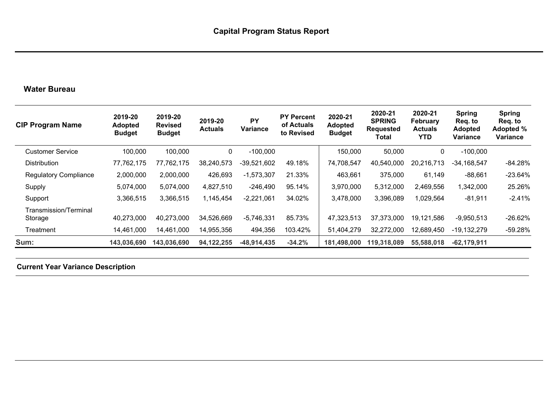# **Water Bureau**

| <b>CIP Program Name</b>          | 2019-20<br><b>Adopted</b><br><b>Budget</b> | 2019-20<br><b>Revised</b><br><b>Budget</b> | 2019-20<br><b>Actuals</b> | <b>PY</b><br><b>Variance</b> | <b>PY Percent</b><br>of Actuals<br>to Revised | 2020-21<br><b>Adopted</b><br><b>Budget</b> | 2020-21<br><b>SPRING</b><br><b>Requested</b><br>Total | 2020-21<br><b>February</b><br><b>Actuals</b><br><b>YTD</b> | <b>Spring</b><br>Req. to<br><b>Adopted</b><br>Variance | <b>Spring</b><br>Req. to<br>Adopted %<br><b>Variance</b> |
|----------------------------------|--------------------------------------------|--------------------------------------------|---------------------------|------------------------------|-----------------------------------------------|--------------------------------------------|-------------------------------------------------------|------------------------------------------------------------|--------------------------------------------------------|----------------------------------------------------------|
| <b>Customer Service</b>          | 100,000                                    | 100,000                                    | 0                         | $-100,000$                   |                                               | 150,000                                    | 50,000                                                | 0                                                          | $-100,000$                                             |                                                          |
| <b>Distribution</b>              | 77,762,175                                 | 77,762,175                                 | 38,240,573                | $-39,521,602$                | 49.18%                                        | 74,708,547                                 | 40,540,000                                            | 20,216,713                                                 | $-34,168,547$                                          | $-84.28%$                                                |
| <b>Regulatory Compliance</b>     | 2,000,000                                  | 2,000,000                                  | 426,693                   | $-1,573,307$                 | 21.33%                                        | 463,661                                    | 375,000                                               | 61,149                                                     | $-88,661$                                              | $-23.64%$                                                |
| Supply                           | 5,074,000                                  | 5,074,000                                  | 4,827,510                 | $-246,490$                   | 95.14%                                        | 3,970,000                                  | 5,312,000                                             | 2,469,556                                                  | 1,342,000                                              | 25.26%                                                   |
| Support                          | 3,366,515                                  | 3,366,515                                  | 1,145,454                 | $-2,221,061$                 | 34.02%                                        | 3,478,000                                  | 3,396,089                                             | 1,029,564                                                  | $-81,911$                                              | $-2.41%$                                                 |
| Transmission/Terminal<br>Storage | 40,273,000                                 | 40,273,000                                 | 34,526,669                | $-5,746,331$                 | 85.73%                                        | 47,323,513                                 | 37,373,000                                            | 19,121,586                                                 | $-9,950,513$                                           | $-26.62%$                                                |
| Treatment                        | 14,461,000                                 | 14,461,000                                 | 14,955,356                | 494,356                      | 103.42%                                       | 51,404,279                                 | 32,272,000                                            | 12,689,450                                                 | $-19,132,279$                                          | $-59.28%$                                                |
| Sum:                             | 143,036,690                                | 143,036,690                                | 94, 122, 255              | $-48,914,435$                | $-34.2%$                                      | 181,498,000                                | 119,318,089                                           | 55,588,018                                                 | $-62,179,911$                                          |                                                          |

**Current Year Variance Description**